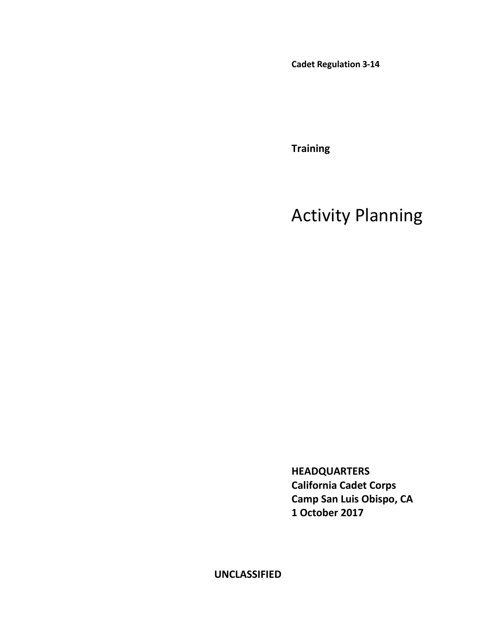**Cadet Regulation 3-14**

**Training**

## Activity Planning

**HEADQUARTERS California Cadet Corps Camp San Luis Obispo, CA 1 October 2017**

**UNCLASSIFIED**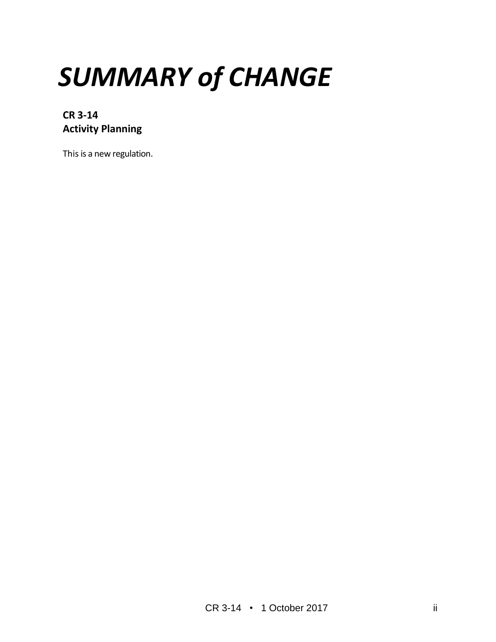# *SUMMARY of CHANGE*

**CR 3-14 Activity Planning**

This is a new regulation.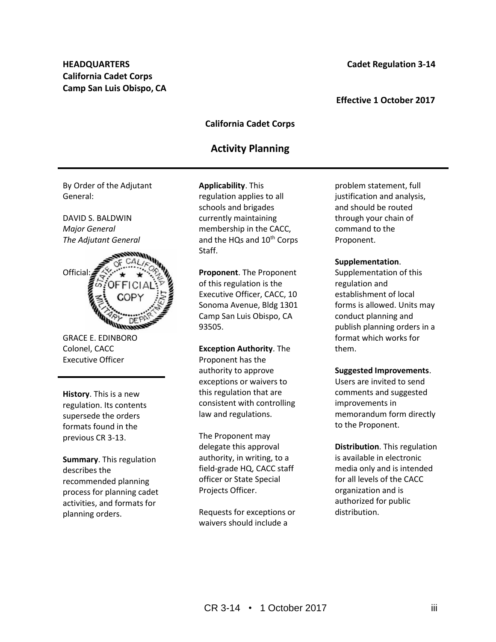### **Effective 1 October 2017**

## **California Cadet Corps**

## **Activity Planning**

By Order of the Adjutant General:

DAVID S. BALDWIN *Major General The Adjutant General*



GRACE E. EDINBORO Colonel, CACC Executive Officer

**History**. This is a new regulation. Its contents supersede the orders formats found in the previous CR 3-13.

**Summary**. This regulation describes the recommended planning process for planning cadet activities, and formats for planning orders.

**Applicability**. This regulation applies to all schools and brigades currently maintaining membership in the CACC, and the HQs and 10<sup>th</sup> Corps Staff.

**Proponent**. The Proponent of this regulation is the Executive Officer, CACC, 10 Sonoma Avenue, Bldg 1301 Camp San Luis Obispo, CA 93505.

#### **Exception Authority**. The

Proponent has the authority to approve exceptions or waivers to this regulation that are consistent with controlling law and regulations.

The Proponent may delegate this approval authority, in writing, to a field-grade HQ, CACC staff officer or State Special Projects Officer.

Requests for exceptions or waivers should include a

problem statement, full justification and analysis, and should be routed through your chain of command to the Proponent.

#### **Supplementation**.

Supplementation of this regulation and establishment of local forms is allowed. Units may conduct planning and publish planning orders in a format which works for them.

#### **Suggested Improvements**.

Users are invited to send comments and suggested improvements in memorandum form directly to the Proponent.

**Distribution**. This regulation is available in electronic media only and is intended for all levels of the CACC organization and is authorized for public distribution.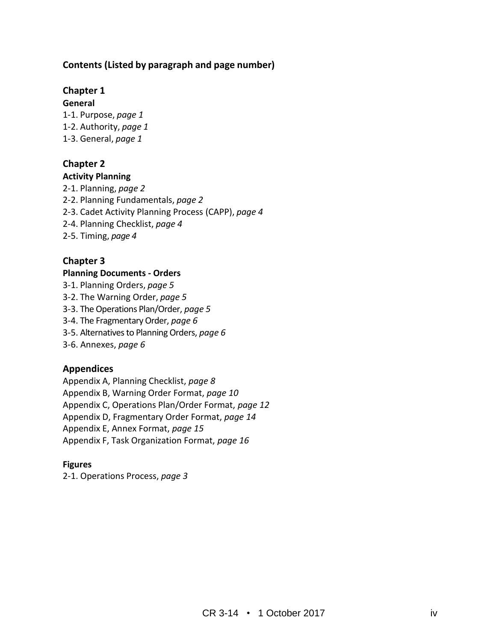## **Contents (Listed by paragraph and page number)**

## **Chapter 1**

**General**

- 1-1. Purpose, *page 1*
- 1-2. Authority, *page 1*
- 1-3. General, *page 1*

## **Chapter 2**

## **Activity Planning**

- 2-1. Planning, *page 2*
- 2-2. Planning Fundamentals, *page 2*
- 2-3. Cadet Activity Planning Process (CAPP), *page 4*
- 2-4. Planning Checklist, *page 4*
- 2-5. Timing, *page 4*

## **Chapter 3**

## **Planning Documents - Orders**

- 3-1. Planning Orders, *page 5*
- 3-2. The Warning Order, *page 5*
- 3-3. The Operations Plan/Order, *page 5*
- 3-4. The Fragmentary Order, *page 6*
- 3-5. Alternatives to Planning Orders, *page 6*
- 3-6. Annexes, *page 6*

## **Appendices**

Appendix A, Planning Checklist, *page 8*

Appendix B, Warning Order Format, *page 10*

Appendix C, Operations Plan/Order Format, *page 12*

Appendix D, Fragmentary Order Format, *page 14*

Appendix E, Annex Format, *page 15*

Appendix F, Task Organization Format, *page 16*

## **Figures**

2-1. Operations Process, *page 3*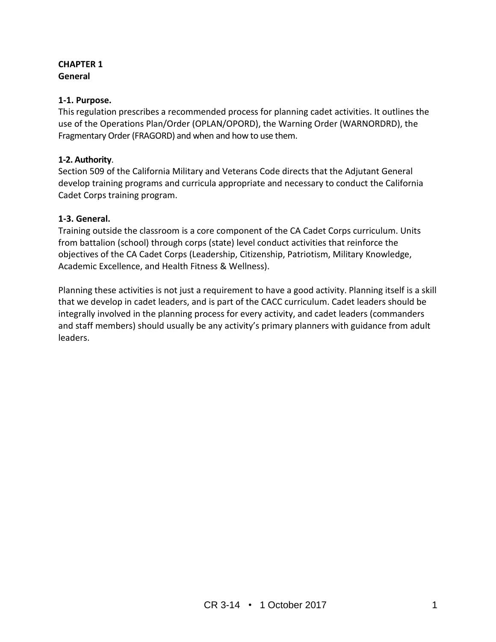## **CHAPTER 1 General**

## **1-1. Purpose.**

This regulation prescribes a recommended process for planning cadet activities. It outlines the use of the Operations Plan/Order (OPLAN/OPORD), the Warning Order (WARNORDRD), the Fragmentary Order (FRAGORD) and when and how to use them.

## **1-2. Authority**.

Section 509 of the California Military and Veterans Code directs that the Adjutant General develop training programs and curricula appropriate and necessary to conduct the California Cadet Corps training program.

## **1-3. General.**

Training outside the classroom is a core component of the CA Cadet Corps curriculum. Units from battalion (school) through corps (state) level conduct activities that reinforce the objectives of the CA Cadet Corps (Leadership, Citizenship, Patriotism, Military Knowledge, Academic Excellence, and Health Fitness & Wellness).

Planning these activities is not just a requirement to have a good activity. Planning itself is a skill that we develop in cadet leaders, and is part of the CACC curriculum. Cadet leaders should be integrally involved in the planning process for every activity, and cadet leaders (commanders and staff members) should usually be any activity's primary planners with guidance from adult leaders.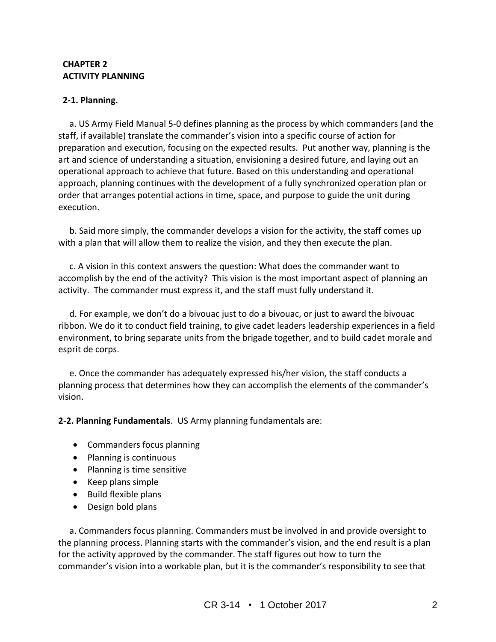## **CHAPTER 2 ACTIVITY PLANNING**

## **2-1. Planning.**

 a. US Army Field Manual 5-0 defines planning as the process by which commanders (and the staff, if available) translate the commander's vision into a specific course of action for preparation and execution, focusing on the expected results. Put another way, planning is the art and science of understanding a situation, envisioning a desired future, and laying out an operational approach to achieve that future. Based on this understanding and operational approach, planning continues with the development of a fully synchronized operation plan or order that arranges potential actions in time, space, and purpose to guide the unit during execution.

 b. Said more simply, the commander develops a vision for the activity, the staff comes up with a plan that will allow them to realize the vision, and they then execute the plan.

 c. A vision in this context answers the question: What does the commander want to accomplish by the end of the activity? This vision is the most important aspect of planning an activity. The commander must express it, and the staff must fully understand it.

 d. For example, we don't do a bivouac just to do a bivouac, or just to award the bivouac ribbon. We do it to conduct field training, to give cadet leaders leadership experiences in a field environment, to bring separate units from the brigade together, and to build cadet morale and esprit de corps.

 e. Once the commander has adequately expressed his/her vision, the staff conducts a planning process that determines how they can accomplish the elements of the commander's vision.

**2-2. Planning Fundamentals**. US Army planning fundamentals are:

- Commanders focus planning
- Planning is continuous
- Planning is time sensitive
- Keep plans simple
- Build flexible plans
- Design bold plans

 a. Commanders focus planning. Commanders must be involved in and provide oversight to the planning process. Planning starts with the commander's vision, and the end result is a plan for the activity approved by the commander. The staff figures out how to turn the commander's vision into a workable plan, but it is the commander's responsibility to see that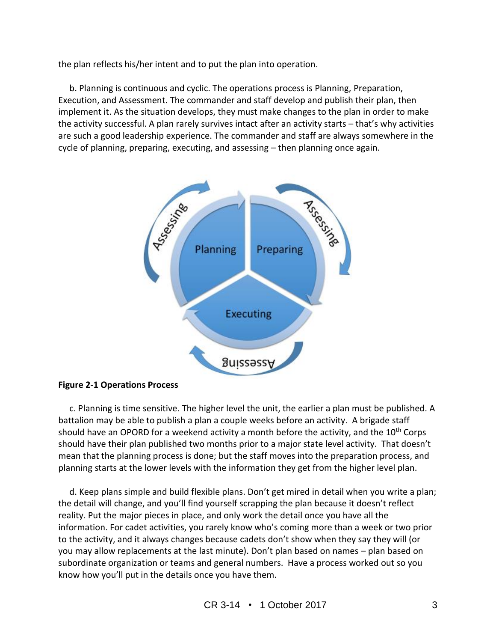the plan reflects his/her intent and to put the plan into operation.

 b. Planning is continuous and cyclic. The operations process is Planning, Preparation, Execution, and Assessment. The commander and staff develop and publish their plan, then implement it. As the situation develops, they must make changes to the plan in order to make the activity successful. A plan rarely survives intact after an activity starts – that's why activities are such a good leadership experience. The commander and staff are always somewhere in the cycle of planning, preparing, executing, and assessing – then planning once again.



## **Figure 2-1 Operations Process**

 c. Planning is time sensitive. The higher level the unit, the earlier a plan must be published. A battalion may be able to publish a plan a couple weeks before an activity. A brigade staff should have an OPORD for a weekend activity a month before the activity, and the 10<sup>th</sup> Corps should have their plan published two months prior to a major state level activity. That doesn't mean that the planning process is done; but the staff moves into the preparation process, and planning starts at the lower levels with the information they get from the higher level plan.

 d. Keep plans simple and build flexible plans. Don't get mired in detail when you write a plan; the detail will change, and you'll find yourself scrapping the plan because it doesn't reflect reality. Put the major pieces in place, and only work the detail once you have all the information. For cadet activities, you rarely know who's coming more than a week or two prior to the activity, and it always changes because cadets don't show when they say they will (or you may allow replacements at the last minute). Don't plan based on names – plan based on subordinate organization or teams and general numbers. Have a process worked out so you know how you'll put in the details once you have them.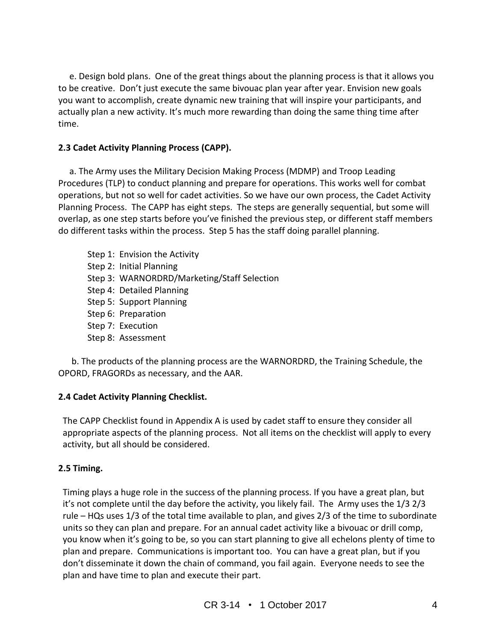e. Design bold plans. One of the great things about the planning process is that it allows you to be creative. Don't just execute the same bivouac plan year after year. Envision new goals you want to accomplish, create dynamic new training that will inspire your participants, and actually plan a new activity. It's much more rewarding than doing the same thing time after time.

## **2.3 Cadet Activity Planning Process (CAPP).**

 a. The Army uses the Military Decision Making Process (MDMP) and Troop Leading Procedures (TLP) to conduct planning and prepare for operations. This works well for combat operations, but not so well for cadet activities. So we have our own process, the Cadet Activity Planning Process. The CAPP has eight steps. The steps are generally sequential, but some will overlap, as one step starts before you've finished the previous step, or different staff members do different tasks within the process. Step 5 has the staff doing parallel planning.

Step 1: Envision the Activity Step 2: Initial Planning Step 3: WARNORDRD/Marketing/Staff Selection Step 4: Detailed Planning Step 5: Support Planning Step 6: Preparation Step 7: Execution Step 8: Assessment

 b. The products of the planning process are the WARNORDRD, the Training Schedule, the OPORD, FRAGORDs as necessary, and the AAR.

## **2.4 Cadet Activity Planning Checklist.**

The CAPP Checklist found in Appendix A is used by cadet staff to ensure they consider all appropriate aspects of the planning process. Not all items on the checklist will apply to every activity, but all should be considered.

## **2.5 Timing.**

Timing plays a huge role in the success of the planning process. If you have a great plan, but it's not complete until the day before the activity, you likely fail. The Army uses the 1/3 2/3 rule – HQs uses 1/3 of the total time available to plan, and gives 2/3 of the time to subordinate units so they can plan and prepare. For an annual cadet activity like a bivouac or drill comp, you know when it's going to be, so you can start planning to give all echelons plenty of time to plan and prepare. Communications is important too. You can have a great plan, but if you don't disseminate it down the chain of command, you fail again. Everyone needs to see the plan and have time to plan and execute their part.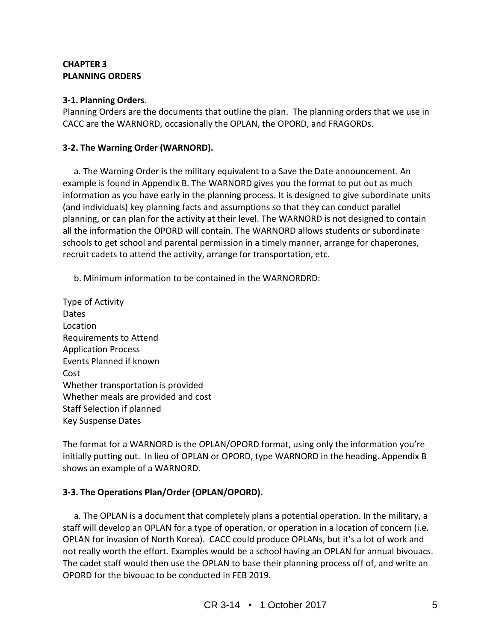## **CHAPTER 3 PLANNING ORDERS**

## **3-1. Planning Orders**.

Planning Orders are the documents that outline the plan. The planning orders that we use in CACC are the WARNORD, occasionally the OPLAN, the OPORD, and FRAGORDs.

## **3-2. The Warning Order (WARNORD).**

 a. The Warning Order is the military equivalent to a Save the Date announcement. An example is found in Appendix B. The WARNORD gives you the format to put out as much information as you have early in the planning process. It is designed to give subordinate units (and individuals) key planning facts and assumptions so that they can conduct parallel planning, or can plan for the activity at their level. The WARNORD is not designed to contain all the information the OPORD will contain. The WARNORD allows students or subordinate schools to get school and parental permission in a timely manner, arrange for chaperones, recruit cadets to attend the activity, arrange for transportation, etc.

- b. Minimum information to be contained in the WARNORDRD:
- Type of Activity Dates Location Requirements to Attend Application Process Events Planned if known Cost Whether transportation is provided Whether meals are provided and cost Staff Selection if planned Key Suspense Dates

The format for a WARNORD is the OPLAN/OPORD format, using only the information you're initially putting out. In lieu of OPLAN or OPORD, type WARNORD in the heading. Appendix B shows an example of a WARNORD.

## **3-3. The Operations Plan/Order (OPLAN/OPORD).**

 a. The OPLAN is a document that completely plans a potential operation. In the military, a staff will develop an OPLAN for a type of operation, or operation in a location of concern (i.e. OPLAN for invasion of North Korea). CACC could produce OPLANs, but it's a lot of work and not really worth the effort. Examples would be a school having an OPLAN for annual bivouacs. The cadet staff would then use the OPLAN to base their planning process off of, and write an OPORD for the bivouac to be conducted in FEB 2019.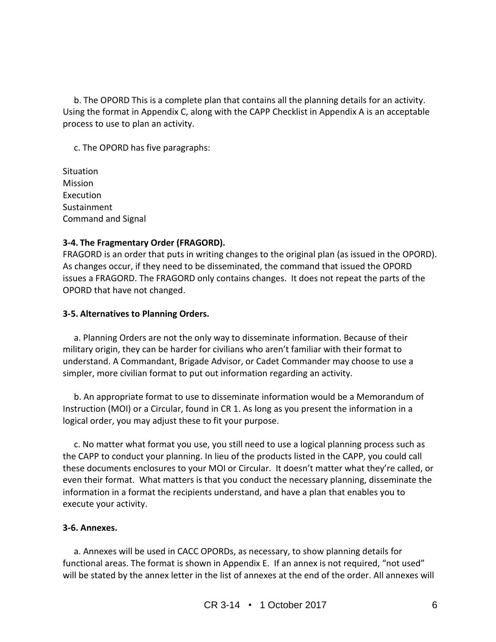b. The OPORD This is a complete plan that contains all the planning details for an activity. Using the format in Appendix C, along with the CAPP Checklist in Appendix A is an acceptable process to use to plan an activity.

c. The OPORD has five paragraphs:

**Situation** Mission Execution Sustainment Command and Signal

## **3-4. The Fragmentary Order (FRAGORD).**

FRAGORD is an order that puts in writing changes to the original plan (as issued in the OPORD). As changes occur, if they need to be disseminated, the command that issued the OPORD issues a FRAGORD. The FRAGORD only contains changes. It does not repeat the parts of the OPORD that have not changed.

## **3-5. Alternatives to Planning Orders.**

 a. Planning Orders are not the only way to disseminate information. Because of their military origin, they can be harder for civilians who aren't familiar with their format to understand. A Commandant, Brigade Advisor, or Cadet Commander may choose to use a simpler, more civilian format to put out information regarding an activity.

 b. An appropriate format to use to disseminate information would be a Memorandum of Instruction (MOI) or a Circular, found in CR 1. As long as you present the information in a logical order, you may adjust these to fit your purpose.

 c. No matter what format you use, you still need to use a logical planning process such as the CAPP to conduct your planning. In lieu of the products listed in the CAPP, you could call these documents enclosures to your MOI or Circular. It doesn't matter what they're called, or even their format. What matters is that you conduct the necessary planning, disseminate the information in a format the recipients understand, and have a plan that enables you to execute your activity.

#### **3-6. Annexes.**

 a. Annexes will be used in CACC OPORDs, as necessary, to show planning details for functional areas. The format is shown in Appendix E. If an annex is not required, "not used" will be stated by the annex letter in the list of annexes at the end of the order. All annexes will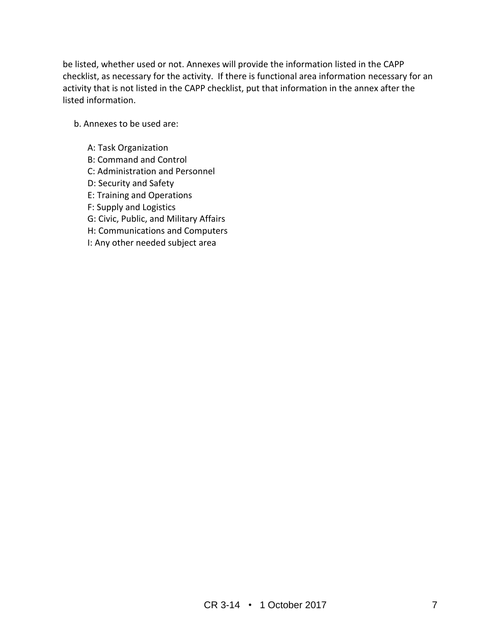be listed, whether used or not. Annexes will provide the information listed in the CAPP checklist, as necessary for the activity. If there is functional area information necessary for an activity that is not listed in the CAPP checklist, put that information in the annex after the listed information.

b. Annexes to be used are:

- A: Task Organization
- B: Command and Control
- C: Administration and Personnel
- D: Security and Safety
- E: Training and Operations
- F: Supply and Logistics
- G: Civic, Public, and Military Affairs
- H: Communications and Computers
- I: Any other needed subject area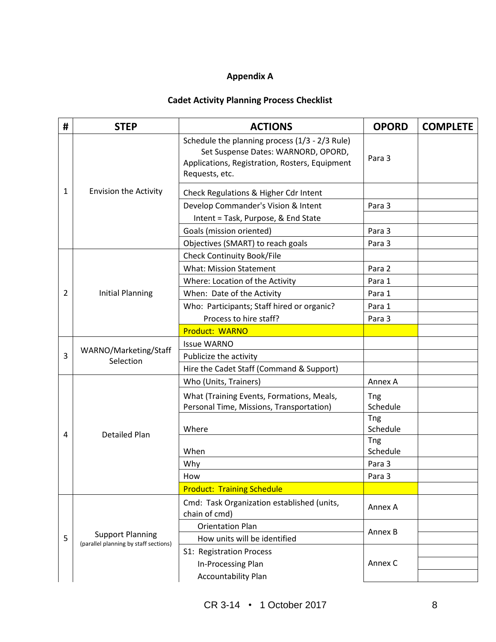## **Appendix A**

## **Cadet Activity Planning Process Checklist**

| # | <b>STEP</b>                                                      | <b>ACTIONS</b>                                                                                                                                            | <b>OPORD</b>           | <b>COMPLETE</b> |
|---|------------------------------------------------------------------|-----------------------------------------------------------------------------------------------------------------------------------------------------------|------------------------|-----------------|
| 1 | <b>Envision the Activity</b>                                     | Schedule the planning process (1/3 - 2/3 Rule)<br>Set Suspense Dates: WARNORD, OPORD,<br>Applications, Registration, Rosters, Equipment<br>Requests, etc. | Para 3                 |                 |
|   |                                                                  | Check Regulations & Higher Cdr Intent                                                                                                                     |                        |                 |
|   |                                                                  | Develop Commander's Vision & Intent                                                                                                                       | Para 3                 |                 |
|   |                                                                  | Intent = Task, Purpose, & End State                                                                                                                       |                        |                 |
|   |                                                                  | Goals (mission oriented)                                                                                                                                  | Para 3                 |                 |
|   |                                                                  | Objectives (SMART) to reach goals                                                                                                                         | Para 3                 |                 |
|   | <b>Initial Planning</b>                                          | <b>Check Continuity Book/File</b>                                                                                                                         |                        |                 |
|   |                                                                  | <b>What: Mission Statement</b>                                                                                                                            | Para 2                 |                 |
|   |                                                                  | Where: Location of the Activity                                                                                                                           | Para 1                 |                 |
| 2 |                                                                  | When: Date of the Activity                                                                                                                                | Para 1                 |                 |
|   |                                                                  | Who: Participants; Staff hired or organic?                                                                                                                | Para 1                 |                 |
|   |                                                                  | Process to hire staff?                                                                                                                                    | Para 3                 |                 |
|   |                                                                  | <b>Product: WARNO</b>                                                                                                                                     |                        |                 |
| 3 | WARNO/Marketing/Staff<br>Selection                               | <b>Issue WARNO</b>                                                                                                                                        |                        |                 |
|   |                                                                  | Publicize the activity                                                                                                                                    |                        |                 |
|   |                                                                  | Hire the Cadet Staff (Command & Support)                                                                                                                  |                        |                 |
|   | <b>Detailed Plan</b>                                             | Who (Units, Trainers)                                                                                                                                     | Annex A                |                 |
| 4 |                                                                  | What (Training Events, Formations, Meals,<br>Personal Time, Missions, Transportation)                                                                     | <b>Tng</b><br>Schedule |                 |
|   |                                                                  | Where                                                                                                                                                     | Tng<br>Schedule        |                 |
|   |                                                                  |                                                                                                                                                           | <b>Tng</b>             |                 |
|   |                                                                  | When                                                                                                                                                      | Schedule               |                 |
|   |                                                                  | Why                                                                                                                                                       | Para 3                 |                 |
|   |                                                                  | How                                                                                                                                                       | Para 3                 |                 |
|   |                                                                  | <b>Product: Training Schedule</b>                                                                                                                         |                        |                 |
| 5 | <b>Support Planning</b><br>(parallel planning by staff sections) | Cmd: Task Organization established (units,<br>chain of cmd)                                                                                               | Annex A                |                 |
|   |                                                                  | <b>Orientation Plan</b>                                                                                                                                   | Annex B                |                 |
|   |                                                                  | How units will be identified                                                                                                                              |                        |                 |
|   |                                                                  | S1: Registration Process                                                                                                                                  | Annex C                |                 |
|   |                                                                  | In-Processing Plan                                                                                                                                        |                        |                 |
|   |                                                                  | <b>Accountability Plan</b>                                                                                                                                |                        |                 |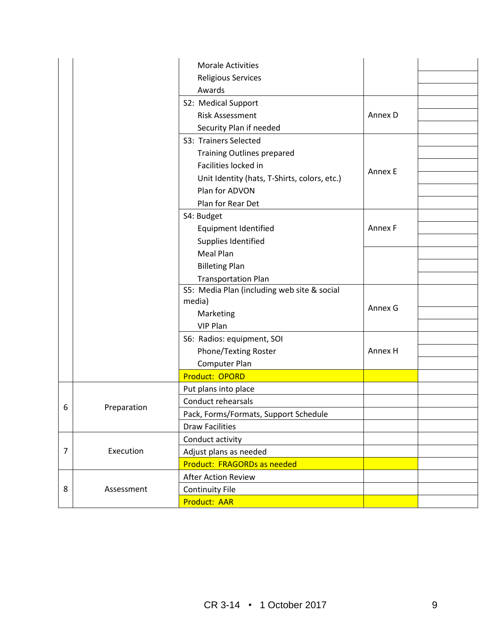|                |             | <b>Morale Activities</b>                     |         |  |
|----------------|-------------|----------------------------------------------|---------|--|
|                |             | Religious Services                           |         |  |
|                |             | Awards<br>S2: Medical Support                |         |  |
|                |             | <b>Risk Assessment</b>                       | Annex D |  |
|                |             |                                              |         |  |
|                |             | Security Plan if needed                      |         |  |
|                |             | S3: Trainers Selected                        |         |  |
|                |             | <b>Training Outlines prepared</b>            |         |  |
|                |             | Facilities locked in                         | Annex E |  |
|                |             | Unit Identity (hats, T-Shirts, colors, etc.) |         |  |
|                |             | Plan for ADVON                               |         |  |
|                |             | Plan for Rear Det                            |         |  |
|                |             | S4: Budget                                   |         |  |
|                |             | Equipment Identified                         | Annex F |  |
|                |             | Supplies Identified                          |         |  |
|                |             | Meal Plan                                    |         |  |
|                |             | <b>Billeting Plan</b>                        |         |  |
|                |             | <b>Transportation Plan</b>                   |         |  |
|                |             | S5: Media Plan (including web site & social  |         |  |
|                |             | media)                                       | Annex G |  |
|                |             | Marketing                                    |         |  |
|                |             | VIP Plan                                     |         |  |
|                |             | S6: Radios: equipment, SOI                   |         |  |
|                |             | Phone/Texting Roster                         | Annex H |  |
|                |             | Computer Plan                                |         |  |
|                |             | <b>Product: OPORD</b>                        |         |  |
|                | Preparation | Put plans into place                         |         |  |
|                |             | Conduct rehearsals                           |         |  |
| 6              |             | Pack, Forms/Formats, Support Schedule        |         |  |
|                |             | <b>Draw Facilities</b>                       |         |  |
| $\overline{7}$ | Execution   | Conduct activity                             |         |  |
|                |             | Adjust plans as needed                       |         |  |
|                |             | Product: FRAGORDs as needed                  |         |  |
| 8              | Assessment  | After Action Review                          |         |  |
|                |             | <b>Continuity File</b>                       |         |  |
|                |             | Product: AAR                                 |         |  |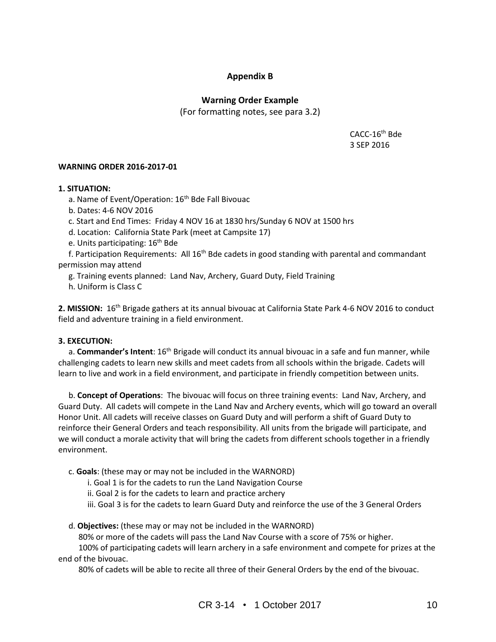## **Appendix B**

## **Warning Order Example**

(For formatting notes, see para 3.2)

CACC-16th Bde 3 SEP 2016

#### **WARNING ORDER 2016-2017-01**

#### **1. SITUATION:**

- a. Name of Event/Operation: 16<sup>th</sup> Bde Fall Bivouac
- b. Dates: 4-6 NOV 2016
- c. Start and End Times: Friday 4 NOV 16 at 1830 hrs/Sunday 6 NOV at 1500 hrs
- d. Location: California State Park (meet at Campsite 17)
- e. Units participating: 16<sup>th</sup> Bde

f. Participation Requirements: All 16<sup>th</sup> Bde cadets in good standing with parental and commandant permission may attend

- g. Training events planned: Land Nav, Archery, Guard Duty, Field Training
- h. Uniform is Class C

**2. MISSION:** 16th Brigade gathers at its annual bivouac at California State Park 4-6 NOV 2016 to conduct field and adventure training in a field environment.

#### **3. EXECUTION:**

a. **Commander's Intent**: 16<sup>th</sup> Brigade will conduct its annual bivouac in a safe and fun manner, while challenging cadets to learn new skills and meet cadets from all schools within the brigade. Cadets will learn to live and work in a field environment, and participate in friendly competition between units.

 b. **Concept of Operations**: The bivouac will focus on three training events: Land Nav, Archery, and Guard Duty. All cadets will compete in the Land Nav and Archery events, which will go toward an overall Honor Unit. All cadets will receive classes on Guard Duty and will perform a shift of Guard Duty to reinforce their General Orders and teach responsibility. All units from the brigade will participate, and we will conduct a morale activity that will bring the cadets from different schools together in a friendly environment.

- c. **Goals**: (these may or may not be included in the WARNORD)
	- i. Goal 1 is for the cadets to run the Land Navigation Course
	- ii. Goal 2 is for the cadets to learn and practice archery
	- iii. Goal 3 is for the cadets to learn Guard Duty and reinforce the use of the 3 General Orders

#### d. **Objectives:** (these may or may not be included in the WARNORD)

80% or more of the cadets will pass the Land Nav Course with a score of 75% or higher.

 100% of participating cadets will learn archery in a safe environment and compete for prizes at the end of the bivouac.

80% of cadets will be able to recite all three of their General Orders by the end of the bivouac.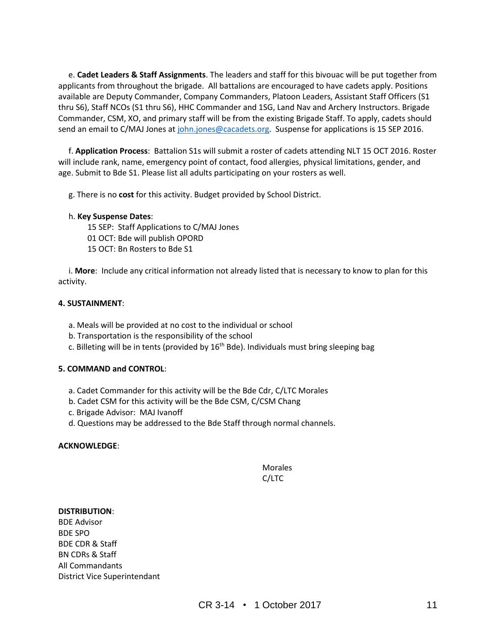e. **Cadet Leaders & Staff Assignments**. The leaders and staff for this bivouac will be put together from applicants from throughout the brigade. All battalions are encouraged to have cadets apply. Positions available are Deputy Commander, Company Commanders, Platoon Leaders, Assistant Staff Officers (S1 thru S6), Staff NCOs (S1 thru S6), HHC Commander and 1SG, Land Nav and Archery Instructors. Brigade Commander, CSM, XO, and primary staff will be from the existing Brigade Staff. To apply, cadets should send an email to C/MAJ Jones at [john.jones@cacadets.org.](mailto:john.jones@cacadets.org) Suspense for applications is 15 SEP 2016.

 f. **Application Process**: Battalion S1s will submit a roster of cadets attending NLT 15 OCT 2016. Roster will include rank, name, emergency point of contact, food allergies, physical limitations, gender, and age. Submit to Bde S1. Please list all adults participating on your rosters as well.

g. There is no **cost** for this activity. Budget provided by School District.

#### h. **Key Suspense Dates**:

15 SEP: Staff Applications to C/MAJ Jones

- 01 OCT: Bde will publish OPORD
- 15 OCT: Bn Rosters to Bde S1

 i. **More**: Include any critical information not already listed that is necessary to know to plan for this activity.

#### **4. SUSTAINMENT**:

- a. Meals will be provided at no cost to the individual or school
- b. Transportation is the responsibility of the school
- c. Billeting will be in tents (provided by  $16<sup>th</sup>$  Bde). Individuals must bring sleeping bag

#### **5. COMMAND and CONTROL**:

- a. Cadet Commander for this activity will be the Bde Cdr, C/LTC Morales
- b. Cadet CSM for this activity will be the Bde CSM, C/CSM Chang
- c. Brigade Advisor: MAJ Ivanoff
- d. Questions may be addressed to the Bde Staff through normal channels.

#### **ACKNOWLEDGE**:

#### Morales C/LTC

#### **DISTRIBUTION**:

BDE Advisor BDE SPO BDE CDR & Staff BN CDRs & Staff All Commandants District Vice Superintendant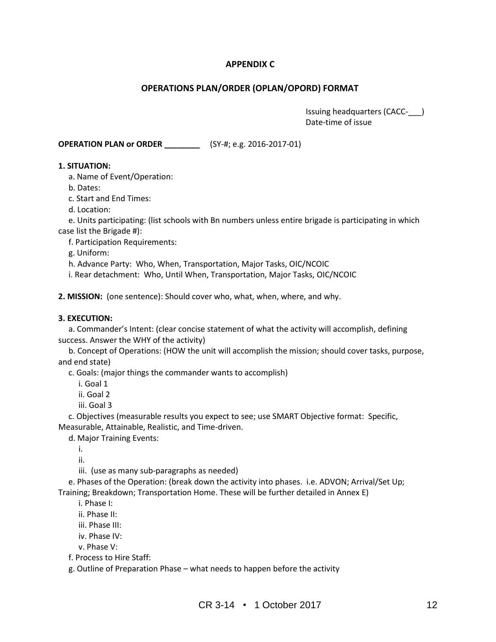## **APPENDIX C**

#### **OPERATIONS PLAN/ORDER (OPLAN/OPORD) FORMAT**

 Issuing headquarters (CACC-\_\_\_) Date-time of issue

**OPERATION PLAN or ORDER \_\_\_\_\_\_\_\_** (SY-#; e.g. 2016-2017-01)

#### **1. SITUATION:**

a. Name of Event/Operation:

b. Dates:

c. Start and End Times:

d. Location:

 e. Units participating: (list schools with Bn numbers unless entire brigade is participating in which case list the Brigade #):

f. Participation Requirements:

g. Uniform:

h. Advance Party: Who, When, Transportation, Major Tasks, OIC/NCOIC

i. Rear detachment: Who, Until When, Transportation, Major Tasks, OIC/NCOIC

**2. MISSION:** (one sentence): Should cover who, what, when, where, and why.

#### **3. EXECUTION:**

 a. Commander's Intent: (clear concise statement of what the activity will accomplish, defining success. Answer the WHY of the activity)

 b. Concept of Operations: (HOW the unit will accomplish the mission; should cover tasks, purpose, and end state)

c. Goals: (major things the commander wants to accomplish)

i. Goal 1

ii. Goal 2

iii. Goal 3

 c. Objectives (measurable results you expect to see; use SMART Objective format: Specific, Measurable, Attainable, Realistic, and Time-driven.

d. Major Training Events:

i.

ii.

iii. (use as many sub-paragraphs as needed)

 e. Phases of the Operation: (break down the activity into phases. i.e. ADVON; Arrival/Set Up; Training; Breakdown; Transportation Home. These will be further detailed in Annex E)

i. Phase I:

ii. Phase II:

iii. Phase III:

iv. Phase IV:

v. Phase V:

f. Process to Hire Staff:

g. Outline of Preparation Phase – what needs to happen before the activity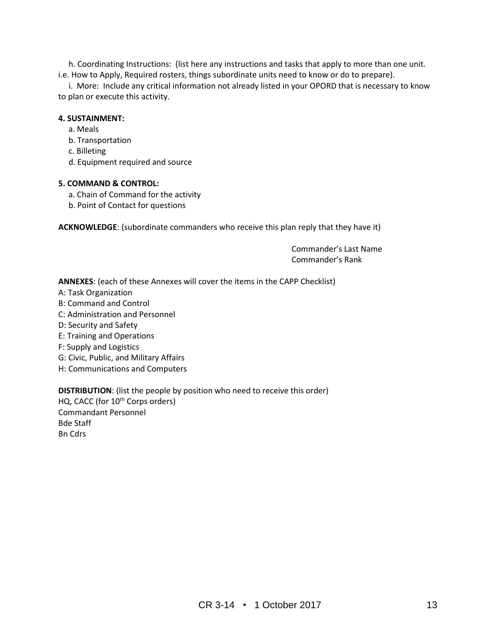h. Coordinating Instructions: (list here any instructions and tasks that apply to more than one unit. i.e. How to Apply, Required rosters, things subordinate units need to know or do to prepare).

 i. More: Include any critical information not already listed in your OPORD that is necessary to know to plan or execute this activity.

#### **4. SUSTAINMENT:**

- a. Meals
- b. Transportation
- c. Billeting
- d. Equipment required and source

#### **5. COMMAND & CONTROL:**

- a. Chain of Command for the activity
- b. Point of Contact for questions

**ACKNOWLEDGE**: (subordinate commanders who receive this plan reply that they have it)

Commander's Last Name Commander's Rank

**ANNEXES**: (each of these Annexes will cover the items in the CAPP Checklist)

- A: Task Organization
- B: Command and Control
- C: Administration and Personnel
- D: Security and Safety
- E: Training and Operations
- F: Supply and Logistics
- G: Civic, Public, and Military Affairs
- H: Communications and Computers

**DISTRIBUTION**: (list the people by position who need to receive this order) HQ, CACC (for 10<sup>th</sup> Corps orders) Commandant Personnel Bde Staff Bn Cdrs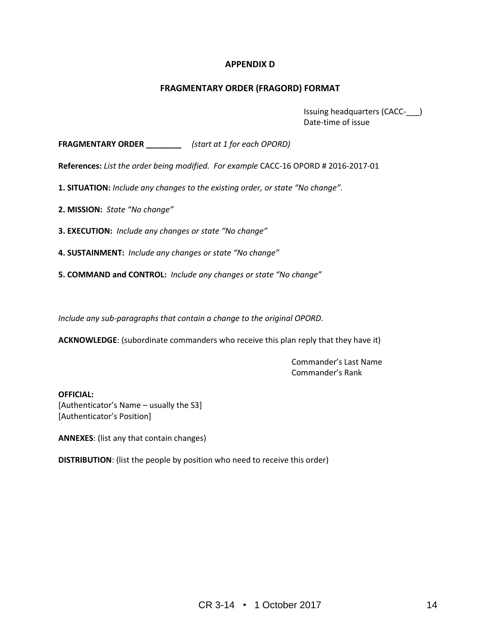## **APPENDIX D**

#### **FRAGMENTARY ORDER (FRAGORD) FORMAT**

Issuing headquarters (CACC-\_\_\_) Date-time of issue

**FRAGMENTARY ORDER \_\_\_\_\_\_\_\_** *(start at 1 for each OPORD)*

**References:** *List the order being modified. For example* CACC-16 OPORD # 2016-2017-01

**1. SITUATION:** *Include any changes to the existing order, or state "No change".* 

**2. MISSION:** *State "No change"*

**3. EXECUTION:** *Include any changes or state "No change"*

**4. SUSTAINMENT:** *Include any changes or state "No change"*

**5. COMMAND and CONTROL:** *Include any changes or state "No change"*

*Include any sub-paragraphs that contain a change to the original OPORD.*

**ACKNOWLEDGE**: (subordinate commanders who receive this plan reply that they have it)

Commander's Last Name Commander's Rank

**OFFICIAL:**

[Authenticator's Name – usually the S3] [Authenticator's Position]

**ANNEXES**: (list any that contain changes)

**DISTRIBUTION**: (list the people by position who need to receive this order)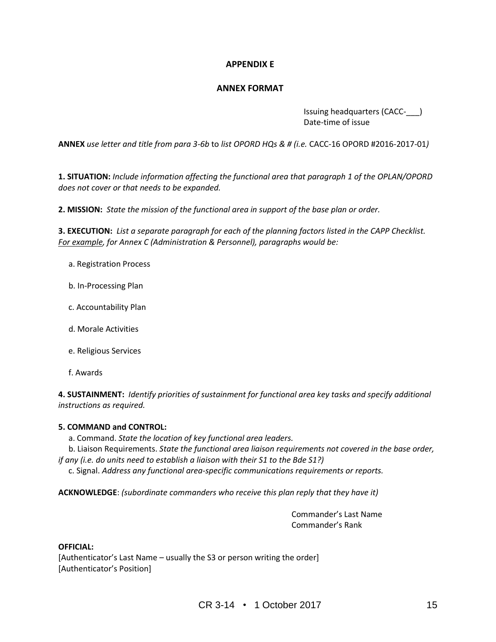## **APPENDIX E**

#### **ANNEX FORMAT**

 Issuing headquarters (CACC-\_\_\_) Date-time of issue

**ANNEX** *use letter and title from para 3-6b* to *list OPORD HQs & # (i.e.* CACC-16 OPORD #2016-2017-01*)*

**1. SITUATION:** *Include information affecting the functional area that paragraph 1 of the OPLAN/OPORD does not cover or that needs to be expanded.* 

**2. MISSION:** *State the mission of the functional area in support of the base plan or order.*

**3. EXECUTION:** *List a separate paragraph for each of the planning factors listed in the CAPP Checklist. For example, for Annex C (Administration & Personnel), paragraphs would be:*

- a. Registration Process
- b. In-Processing Plan
- c. Accountability Plan
- d. Morale Activities
- e. Religious Services
- f. Awards

**4. SUSTAINMENT:** *Identify priorities of sustainment for functional area key tasks and specify additional instructions as required.* 

#### **5. COMMAND and CONTROL:**

a. Command. *State the location of key functional area leaders.* 

 b. Liaison Requirements. *State the functional area liaison requirements not covered in the base order, if any (i.e. do units need to establish a liaison with their S1 to the Bde S1?)*

c. Signal. *Address any functional area-specific communications requirements or reports.*

**ACKNOWLEDGE**: *(subordinate commanders who receive this plan reply that they have it)*

Commander's Last Name Commander's Rank

#### **OFFICIAL:**

[Authenticator's Last Name – usually the S3 or person writing the order] [Authenticator's Position]